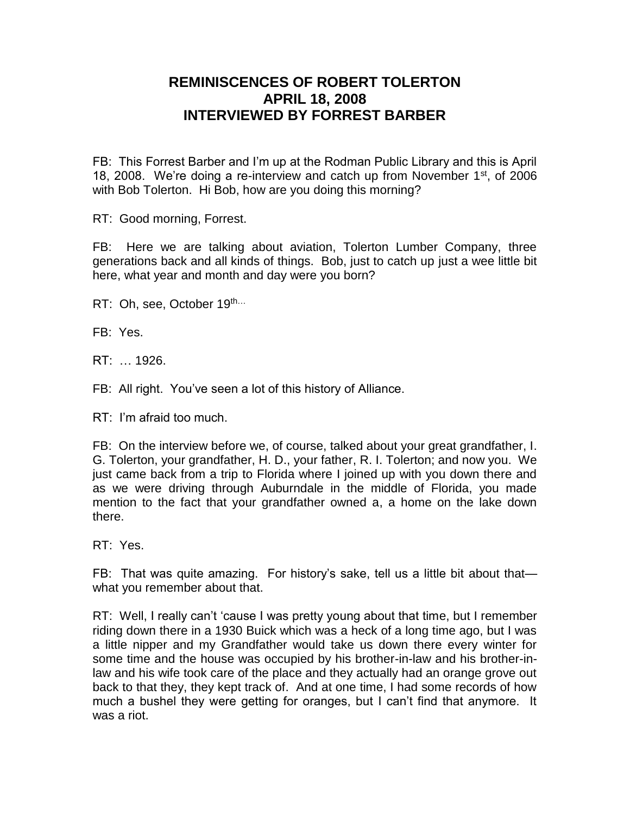## **REMINISCENCES OF ROBERT TOLERTON APRIL 18, 2008 INTERVIEWED BY FORREST BARBER**

FB: This Forrest Barber and I'm up at the Rodman Public Library and this is April 18, 2008. We're doing a re-interview and catch up from November  $1<sup>st</sup>$ , of 2006 with Bob Tolerton. Hi Bob, how are you doing this morning?

RT: Good morning, Forrest.

FB: Here we are talking about aviation, Tolerton Lumber Company, three generations back and all kinds of things. Bob, just to catch up just a wee little bit here, what year and month and day were you born?

RT: Oh, see, October 19th...

FB: Yes.

RT: … 1926.

FB: All right. You've seen a lot of this history of Alliance.

RT: I'm afraid too much.

FB: On the interview before we, of course, talked about your great grandfather, I. G. Tolerton, your grandfather, H. D., your father, R. I. Tolerton; and now you. We just came back from a trip to Florida where I joined up with you down there and as we were driving through Auburndale in the middle of Florida, you made mention to the fact that your grandfather owned a, a home on the lake down there.

RT: Yes.

FB: That was quite amazing. For history's sake, tell us a little bit about that what you remember about that.

RT: Well, I really can't 'cause I was pretty young about that time, but I remember riding down there in a 1930 Buick which was a heck of a long time ago, but I was a little nipper and my Grandfather would take us down there every winter for some time and the house was occupied by his brother-in-law and his brother-inlaw and his wife took care of the place and they actually had an orange grove out back to that they, they kept track of. And at one time, I had some records of how much a bushel they were getting for oranges, but I can't find that anymore. It was a riot.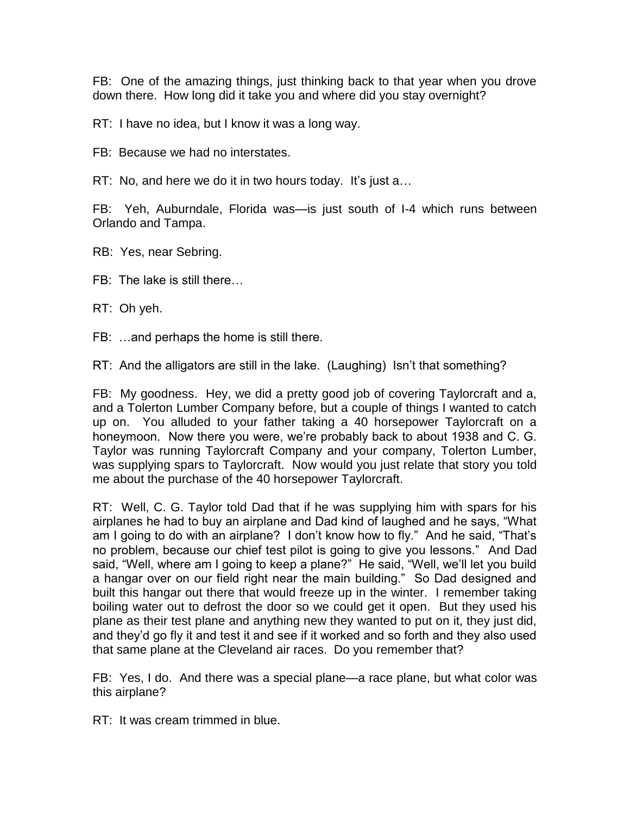FB: One of the amazing things, just thinking back to that year when you drove down there. How long did it take you and where did you stay overnight?

RT: I have no idea, but I know it was a long way.

FB: Because we had no interstates.

RT: No, and here we do it in two hours today. It's just a…

FB: Yeh, Auburndale, Florida was—is just south of I-4 which runs between Orlando and Tampa.

RB: Yes, near Sebring.

FB: The lake is still there…

RT: Oh yeh.

FB: …and perhaps the home is still there.

RT: And the alligators are still in the lake. (Laughing) Isn't that something?

FB: My goodness. Hey, we did a pretty good job of covering Taylorcraft and a, and a Tolerton Lumber Company before, but a couple of things I wanted to catch up on. You alluded to your father taking a 40 horsepower Taylorcraft on a honeymoon. Now there you were, we're probably back to about 1938 and C. G. Taylor was running Taylorcraft Company and your company, Tolerton Lumber, was supplying spars to Taylorcraft. Now would you just relate that story you told me about the purchase of the 40 horsepower Taylorcraft.

RT: Well, C. G. Taylor told Dad that if he was supplying him with spars for his airplanes he had to buy an airplane and Dad kind of laughed and he says, "What am I going to do with an airplane? I don't know how to fly." And he said, "That's no problem, because our chief test pilot is going to give you lessons." And Dad said, "Well, where am I going to keep a plane?" He said, "Well, we'll let you build a hangar over on our field right near the main building." So Dad designed and built this hangar out there that would freeze up in the winter. I remember taking boiling water out to defrost the door so we could get it open. But they used his plane as their test plane and anything new they wanted to put on it, they just did, and they'd go fly it and test it and see if it worked and so forth and they also used that same plane at the Cleveland air races. Do you remember that?

FB: Yes, I do. And there was a special plane—a race plane, but what color was this airplane?

RT: It was cream trimmed in blue.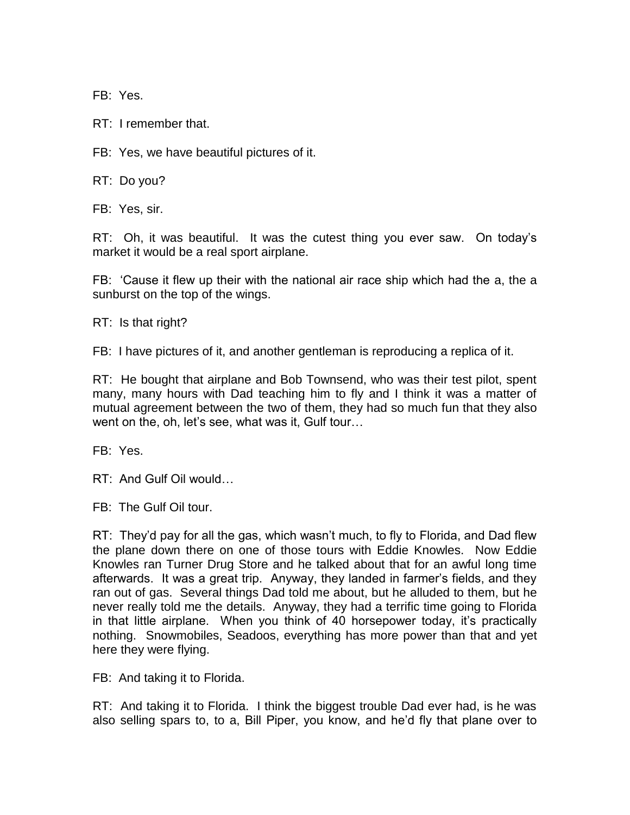FB: Yes.

RT: I remember that.

FB: Yes, we have beautiful pictures of it.

RT: Do you?

FB: Yes, sir.

RT: Oh, it was beautiful. It was the cutest thing you ever saw. On today's market it would be a real sport airplane.

FB: 'Cause it flew up their with the national air race ship which had the a, the a sunburst on the top of the wings.

RT: Is that right?

FB: I have pictures of it, and another gentleman is reproducing a replica of it.

RT: He bought that airplane and Bob Townsend, who was their test pilot, spent many, many hours with Dad teaching him to fly and I think it was a matter of mutual agreement between the two of them, they had so much fun that they also went on the, oh, let's see, what was it, Gulf tour…

FB: Yes.

RT: And Gulf Oil would…

FB: The Gulf Oil tour.

RT: They'd pay for all the gas, which wasn't much, to fly to Florida, and Dad flew the plane down there on one of those tours with Eddie Knowles. Now Eddie Knowles ran Turner Drug Store and he talked about that for an awful long time afterwards. It was a great trip. Anyway, they landed in farmer's fields, and they ran out of gas. Several things Dad told me about, but he alluded to them, but he never really told me the details. Anyway, they had a terrific time going to Florida in that little airplane. When you think of 40 horsepower today, it's practically nothing. Snowmobiles, Seadoos, everything has more power than that and yet here they were flying.

FB: And taking it to Florida.

RT: And taking it to Florida. I think the biggest trouble Dad ever had, is he was also selling spars to, to a, Bill Piper, you know, and he'd fly that plane over to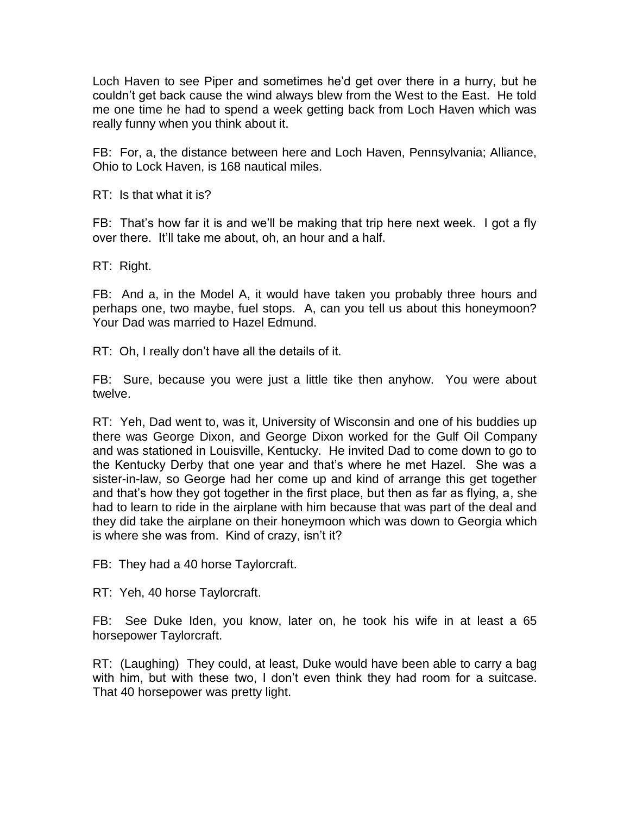Loch Haven to see Piper and sometimes he'd get over there in a hurry, but he couldn't get back cause the wind always blew from the West to the East. He told me one time he had to spend a week getting back from Loch Haven which was really funny when you think about it.

FB: For, a, the distance between here and Loch Haven, Pennsylvania; Alliance, Ohio to Lock Haven, is 168 nautical miles.

RT: Is that what it is?

FB: That's how far it is and we'll be making that trip here next week. I got a fly over there. It'll take me about, oh, an hour and a half.

RT: Right.

FB: And a, in the Model A, it would have taken you probably three hours and perhaps one, two maybe, fuel stops. A, can you tell us about this honeymoon? Your Dad was married to Hazel Edmund.

RT: Oh, I really don't have all the details of it.

FB: Sure, because you were just a little tike then anyhow. You were about twelve.

RT: Yeh, Dad went to, was it, University of Wisconsin and one of his buddies up there was George Dixon, and George Dixon worked for the Gulf Oil Company and was stationed in Louisville, Kentucky. He invited Dad to come down to go to the Kentucky Derby that one year and that's where he met Hazel. She was a sister-in-law, so George had her come up and kind of arrange this get together and that's how they got together in the first place, but then as far as flying, a, she had to learn to ride in the airplane with him because that was part of the deal and they did take the airplane on their honeymoon which was down to Georgia which is where she was from. Kind of crazy, isn't it?

FB: They had a 40 horse Taylorcraft.

RT: Yeh, 40 horse Taylorcraft.

FB: See Duke Iden, you know, later on, he took his wife in at least a 65 horsepower Taylorcraft.

RT: (Laughing) They could, at least, Duke would have been able to carry a bag with him, but with these two, I don't even think they had room for a suitcase. That 40 horsepower was pretty light.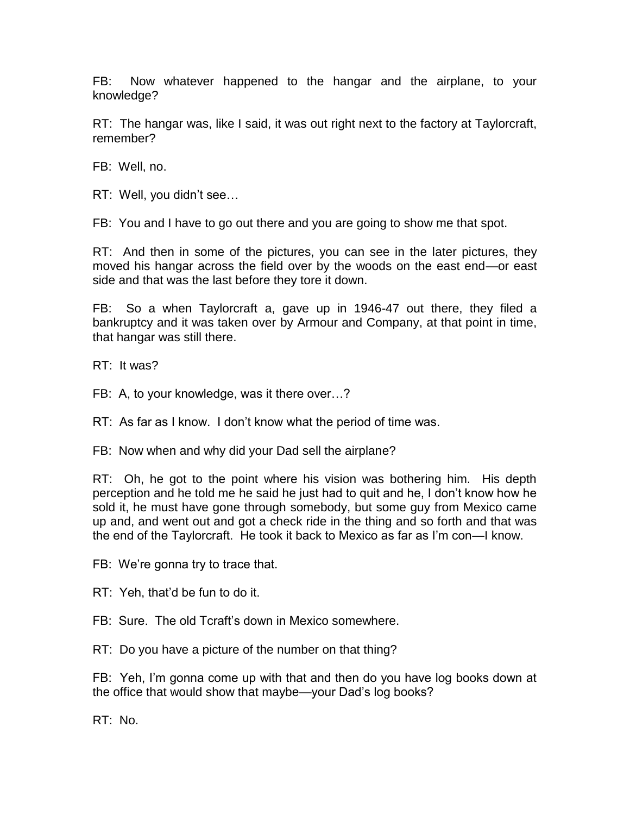FB: Now whatever happened to the hangar and the airplane, to your knowledge?

RT: The hangar was, like I said, it was out right next to the factory at Taylorcraft, remember?

FB: Well, no.

RT: Well, you didn't see…

FB: You and I have to go out there and you are going to show me that spot.

RT: And then in some of the pictures, you can see in the later pictures, they moved his hangar across the field over by the woods on the east end—or east side and that was the last before they tore it down.

FB: So a when Taylorcraft a, gave up in 1946-47 out there, they filed a bankruptcy and it was taken over by Armour and Company, at that point in time, that hangar was still there.

RT: It was?

FB: A, to your knowledge, was it there over…?

RT: As far as I know. I don't know what the period of time was.

FB: Now when and why did your Dad sell the airplane?

RT: Oh, he got to the point where his vision was bothering him. His depth perception and he told me he said he just had to quit and he, I don't know how he sold it, he must have gone through somebody, but some guy from Mexico came up and, and went out and got a check ride in the thing and so forth and that was the end of the Taylorcraft. He took it back to Mexico as far as I'm con—I know.

FB: We're gonna try to trace that.

RT: Yeh, that'd be fun to do it.

FB: Sure. The old Tcraft's down in Mexico somewhere.

RT: Do you have a picture of the number on that thing?

FB: Yeh, I'm gonna come up with that and then do you have log books down at the office that would show that maybe—your Dad's log books?

RT: No.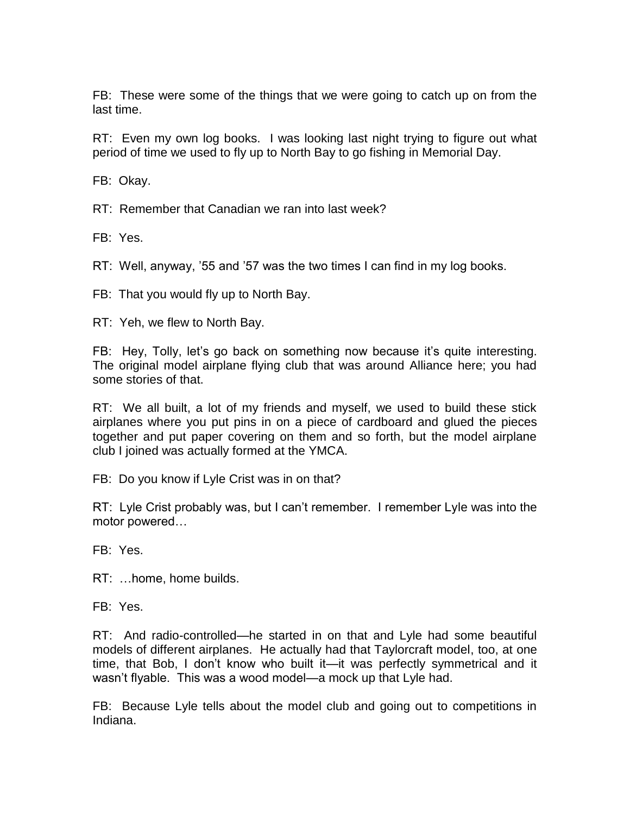FB: These were some of the things that we were going to catch up on from the last time.

RT: Even my own log books. I was looking last night trying to figure out what period of time we used to fly up to North Bay to go fishing in Memorial Day.

FB: Okay.

RT: Remember that Canadian we ran into last week?

FB: Yes.

RT: Well, anyway, '55 and '57 was the two times I can find in my log books.

FB: That you would fly up to North Bay.

RT: Yeh, we flew to North Bay.

FB: Hey, Tolly, let's go back on something now because it's quite interesting. The original model airplane flying club that was around Alliance here; you had some stories of that.

RT: We all built, a lot of my friends and myself, we used to build these stick airplanes where you put pins in on a piece of cardboard and glued the pieces together and put paper covering on them and so forth, but the model airplane club I joined was actually formed at the YMCA.

FB: Do you know if Lyle Crist was in on that?

RT: Lyle Crist probably was, but I can't remember. I remember Lyle was into the motor powered…

FB: Yes.

RT: …home, home builds.

FB: Yes.

RT: And radio-controlled—he started in on that and Lyle had some beautiful models of different airplanes. He actually had that Taylorcraft model, too, at one time, that Bob, I don't know who built it—it was perfectly symmetrical and it wasn't flyable. This was a wood model—a mock up that Lyle had.

FB: Because Lyle tells about the model club and going out to competitions in Indiana.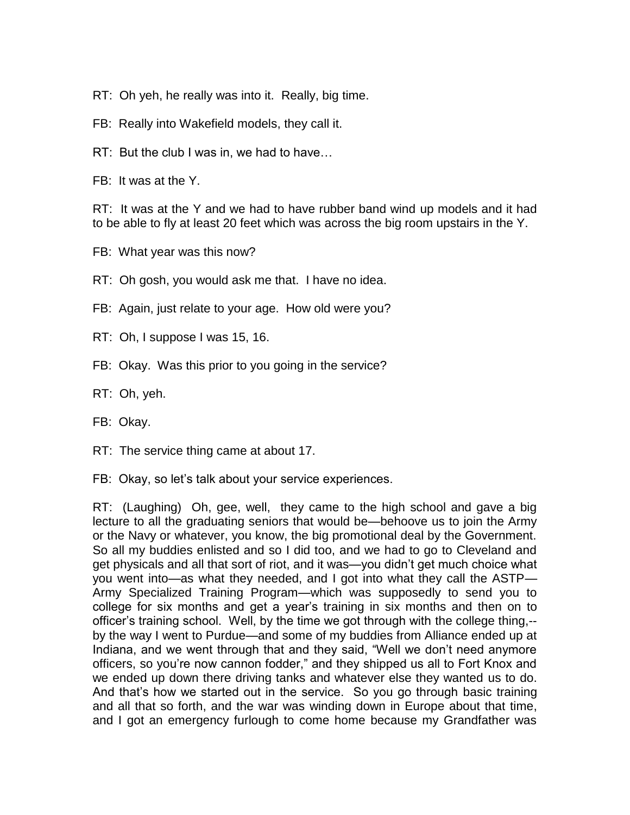RT: Oh yeh, he really was into it. Really, big time.

FB: Really into Wakefield models, they call it.

RT: But the club I was in, we had to have…

FB: It was at the Y.

RT: It was at the Y and we had to have rubber band wind up models and it had to be able to fly at least 20 feet which was across the big room upstairs in the Y.

- FB: What year was this now?
- RT: Oh gosh, you would ask me that. I have no idea.
- FB: Again, just relate to your age. How old were you?
- RT: Oh, I suppose I was 15, 16.
- FB: Okay. Was this prior to you going in the service?
- RT: Oh, yeh.
- FB: Okay.
- RT: The service thing came at about 17.
- FB: Okay, so let's talk about your service experiences.

RT: (Laughing) Oh, gee, well, they came to the high school and gave a big lecture to all the graduating seniors that would be—behoove us to join the Army or the Navy or whatever, you know, the big promotional deal by the Government. So all my buddies enlisted and so I did too, and we had to go to Cleveland and get physicals and all that sort of riot, and it was—you didn't get much choice what you went into—as what they needed, and I got into what they call the ASTP— Army Specialized Training Program—which was supposedly to send you to college for six months and get a year's training in six months and then on to officer's training school. Well, by the time we got through with the college thing,- by the way I went to Purdue—and some of my buddies from Alliance ended up at Indiana, and we went through that and they said, "Well we don't need anymore officers, so you're now cannon fodder," and they shipped us all to Fort Knox and we ended up down there driving tanks and whatever else they wanted us to do. And that's how we started out in the service. So you go through basic training and all that so forth, and the war was winding down in Europe about that time, and I got an emergency furlough to come home because my Grandfather was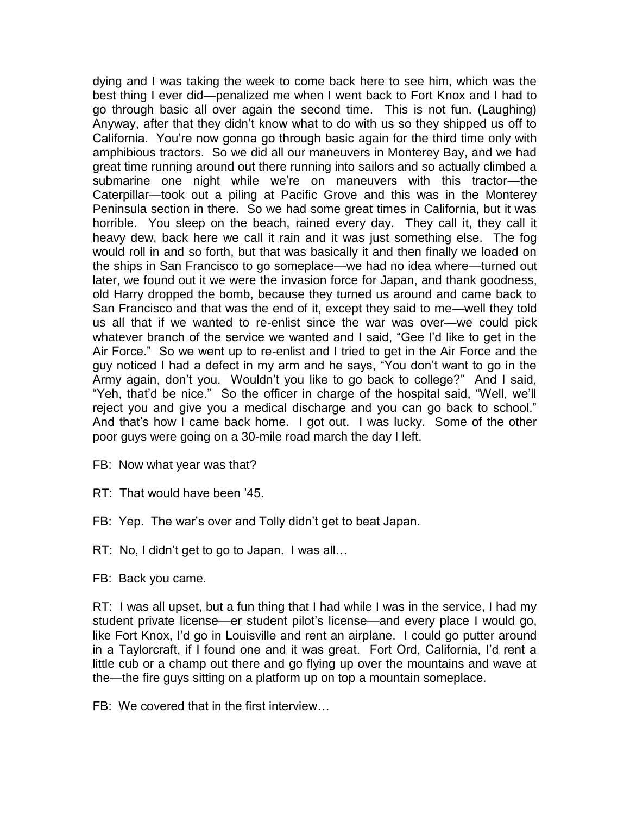dying and I was taking the week to come back here to see him, which was the best thing I ever did—penalized me when I went back to Fort Knox and I had to go through basic all over again the second time. This is not fun. (Laughing) Anyway, after that they didn't know what to do with us so they shipped us off to California. You're now gonna go through basic again for the third time only with amphibious tractors. So we did all our maneuvers in Monterey Bay, and we had great time running around out there running into sailors and so actually climbed a submarine one night while we're on maneuvers with this tractor—the Caterpillar—took out a piling at Pacific Grove and this was in the Monterey Peninsula section in there. So we had some great times in California, but it was horrible. You sleep on the beach, rained every day. They call it, they call it heavy dew, back here we call it rain and it was just something else. The fog would roll in and so forth, but that was basically it and then finally we loaded on the ships in San Francisco to go someplace—we had no idea where—turned out later, we found out it we were the invasion force for Japan, and thank goodness, old Harry dropped the bomb, because they turned us around and came back to San Francisco and that was the end of it, except they said to me—well they told us all that if we wanted to re-enlist since the war was over—we could pick whatever branch of the service we wanted and I said, "Gee I'd like to get in the Air Force." So we went up to re-enlist and I tried to get in the Air Force and the guy noticed I had a defect in my arm and he says, "You don't want to go in the Army again, don't you. Wouldn't you like to go back to college?" And I said, "Yeh, that'd be nice." So the officer in charge of the hospital said, "Well, we'll reject you and give you a medical discharge and you can go back to school." And that's how I came back home. I got out. I was lucky. Some of the other poor guys were going on a 30-mile road march the day I left.

- FB: Now what year was that?
- RT: That would have been '45.
- FB: Yep. The war's over and Tolly didn't get to beat Japan.
- RT: No, I didn't get to go to Japan. I was all…
- FB: Back you came.

RT: I was all upset, but a fun thing that I had while I was in the service, I had my student private license—er student pilot's license—and every place I would go, like Fort Knox, I'd go in Louisville and rent an airplane. I could go putter around in a Taylorcraft, if I found one and it was great. Fort Ord, California, I'd rent a little cub or a champ out there and go flying up over the mountains and wave at the—the fire guys sitting on a platform up on top a mountain someplace.

FB: We covered that in the first interview…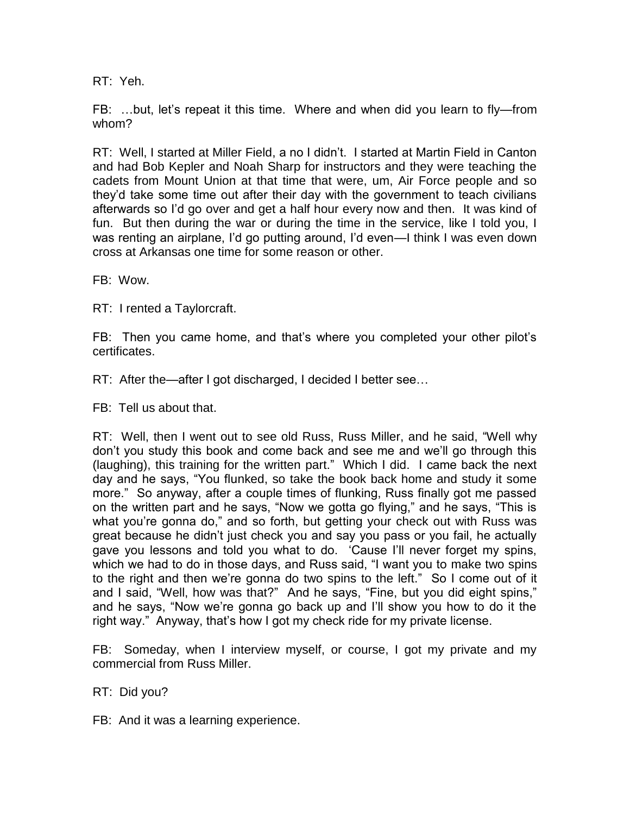RT: Yeh.

FB: …but, let's repeat it this time. Where and when did you learn to fly—from whom?

RT: Well, I started at Miller Field, a no I didn't. I started at Martin Field in Canton and had Bob Kepler and Noah Sharp for instructors and they were teaching the cadets from Mount Union at that time that were, um, Air Force people and so they'd take some time out after their day with the government to teach civilians afterwards so I'd go over and get a half hour every now and then. It was kind of fun. But then during the war or during the time in the service, like I told you, I was renting an airplane, I'd go putting around, I'd even—I think I was even down cross at Arkansas one time for some reason or other.

FB: Wow.

RT: I rented a Taylorcraft.

FB: Then you came home, and that's where you completed your other pilot's certificates.

RT: After the—after I got discharged, I decided I better see…

FB: Tell us about that.

RT: Well, then I went out to see old Russ, Russ Miller, and he said, "Well why don't you study this book and come back and see me and we'll go through this (laughing), this training for the written part." Which I did. I came back the next day and he says, "You flunked, so take the book back home and study it some more." So anyway, after a couple times of flunking, Russ finally got me passed on the written part and he says, "Now we gotta go flying," and he says, "This is what you're gonna do," and so forth, but getting your check out with Russ was great because he didn't just check you and say you pass or you fail, he actually gave you lessons and told you what to do. 'Cause I'll never forget my spins, which we had to do in those days, and Russ said, "I want you to make two spins to the right and then we're gonna do two spins to the left." So I come out of it and I said, "Well, how was that?" And he says, "Fine, but you did eight spins," and he says, "Now we're gonna go back up and I'll show you how to do it the right way." Anyway, that's how I got my check ride for my private license.

FB: Someday, when I interview myself, or course, I got my private and my commercial from Russ Miller.

RT: Did you?

FB: And it was a learning experience.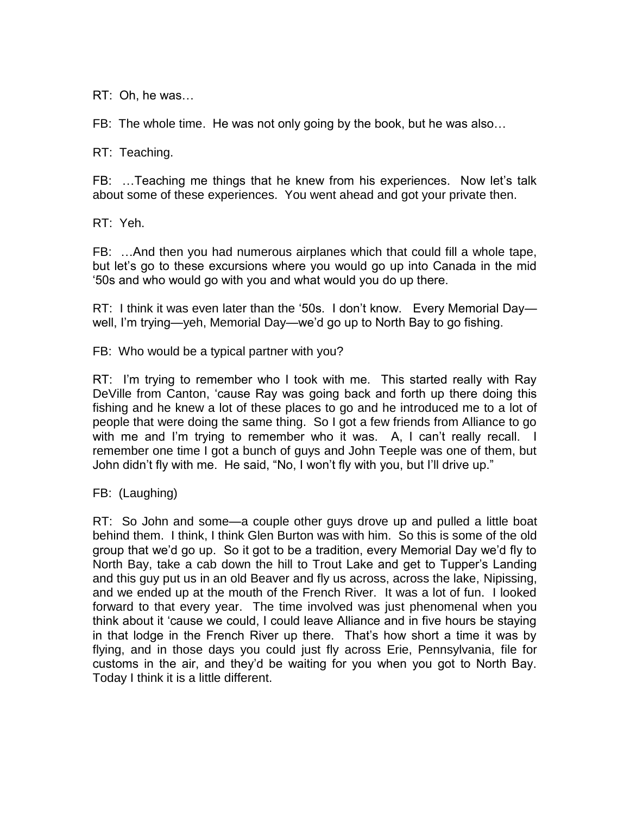RT: Oh, he was…

FB: The whole time. He was not only going by the book, but he was also…

RT: Teaching.

FB: …Teaching me things that he knew from his experiences. Now let's talk about some of these experiences. You went ahead and got your private then.

RT: Yeh.

FB: …And then you had numerous airplanes which that could fill a whole tape, but let's go to these excursions where you would go up into Canada in the mid '50s and who would go with you and what would you do up there.

RT: I think it was even later than the '50s. I don't know. Every Memorial Day well, I'm trying—yeh, Memorial Day—we'd go up to North Bay to go fishing.

FB: Who would be a typical partner with you?

RT: I'm trying to remember who I took with me. This started really with Ray DeVille from Canton, 'cause Ray was going back and forth up there doing this fishing and he knew a lot of these places to go and he introduced me to a lot of people that were doing the same thing. So I got a few friends from Alliance to go with me and I'm trying to remember who it was. A, I can't really recall. I remember one time I got a bunch of guys and John Teeple was one of them, but John didn't fly with me. He said, "No, I won't fly with you, but I'll drive up."

FB: (Laughing)

RT: So John and some—a couple other guys drove up and pulled a little boat behind them. I think, I think Glen Burton was with him. So this is some of the old group that we'd go up. So it got to be a tradition, every Memorial Day we'd fly to North Bay, take a cab down the hill to Trout Lake and get to Tupper's Landing and this guy put us in an old Beaver and fly us across, across the lake, Nipissing, and we ended up at the mouth of the French River. It was a lot of fun. I looked forward to that every year. The time involved was just phenomenal when you think about it 'cause we could, I could leave Alliance and in five hours be staying in that lodge in the French River up there. That's how short a time it was by flying, and in those days you could just fly across Erie, Pennsylvania, file for customs in the air, and they'd be waiting for you when you got to North Bay. Today I think it is a little different.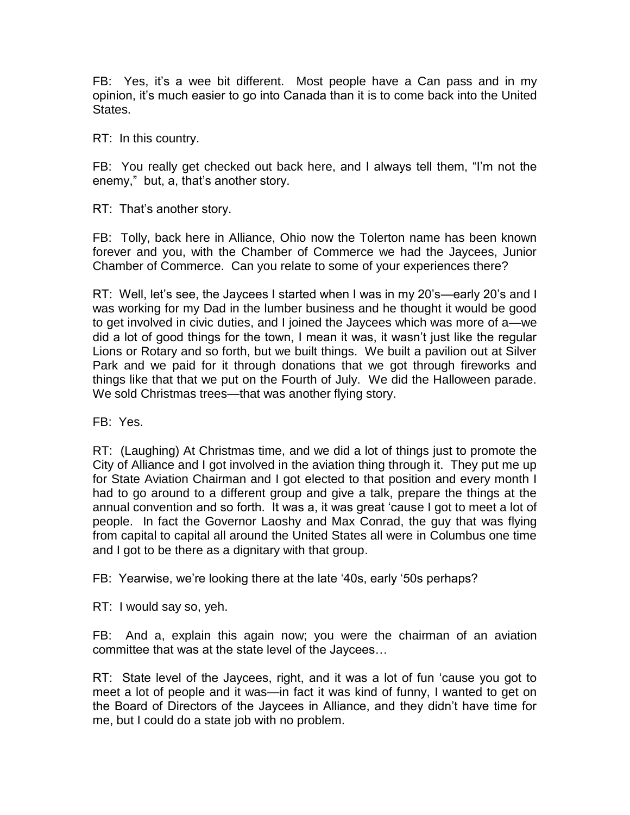FB: Yes, it's a wee bit different. Most people have a Can pass and in my opinion, it's much easier to go into Canada than it is to come back into the United States.

RT: In this country.

FB: You really get checked out back here, and I always tell them, "I'm not the enemy," but, a, that's another story.

RT: That's another story.

FB: Tolly, back here in Alliance, Ohio now the Tolerton name has been known forever and you, with the Chamber of Commerce we had the Jaycees, Junior Chamber of Commerce. Can you relate to some of your experiences there?

RT: Well, let's see, the Jaycees I started when I was in my 20's—early 20's and I was working for my Dad in the lumber business and he thought it would be good to get involved in civic duties, and I joined the Jaycees which was more of a—we did a lot of good things for the town, I mean it was, it wasn't just like the regular Lions or Rotary and so forth, but we built things. We built a pavilion out at Silver Park and we paid for it through donations that we got through fireworks and things like that that we put on the Fourth of July. We did the Halloween parade. We sold Christmas trees—that was another flying story.

FB: Yes.

RT: (Laughing) At Christmas time, and we did a lot of things just to promote the City of Alliance and I got involved in the aviation thing through it. They put me up for State Aviation Chairman and I got elected to that position and every month I had to go around to a different group and give a talk, prepare the things at the annual convention and so forth. It was a, it was great 'cause I got to meet a lot of people. In fact the Governor Laoshy and Max Conrad, the guy that was flying from capital to capital all around the United States all were in Columbus one time and I got to be there as a dignitary with that group.

FB: Yearwise, we're looking there at the late '40s, early '50s perhaps?

RT: I would say so, yeh.

FB: And a, explain this again now; you were the chairman of an aviation committee that was at the state level of the Jaycees…

RT: State level of the Jaycees, right, and it was a lot of fun 'cause you got to meet a lot of people and it was—in fact it was kind of funny, I wanted to get on the Board of Directors of the Jaycees in Alliance, and they didn't have time for me, but I could do a state job with no problem.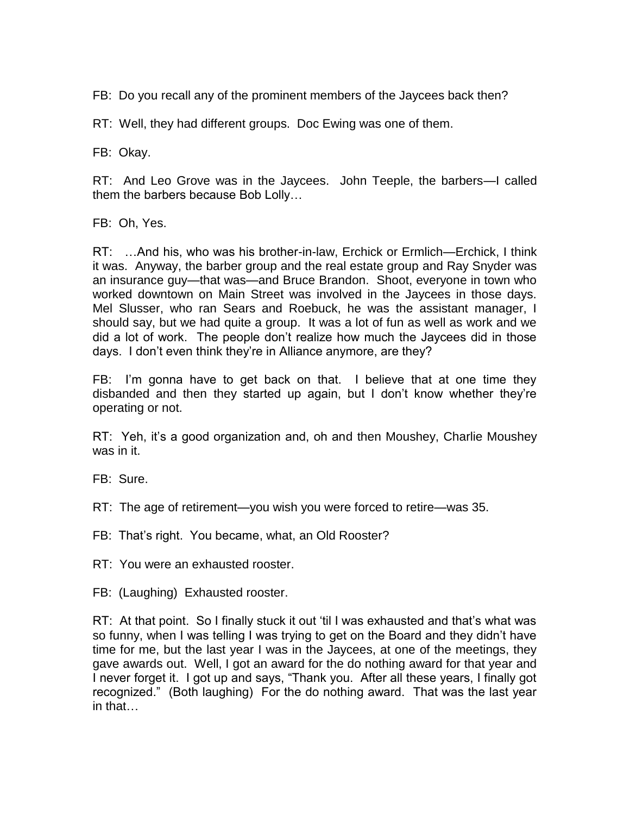FB: Do you recall any of the prominent members of the Jaycees back then?

RT: Well, they had different groups. Doc Ewing was one of them.

FB: Okay.

RT: And Leo Grove was in the Jaycees. John Teeple, the barbers—I called them the barbers because Bob Lolly…

FB: Oh, Yes.

RT: …And his, who was his brother-in-law, Erchick or Ermlich—Erchick, I think it was. Anyway, the barber group and the real estate group and Ray Snyder was an insurance guy—that was—and Bruce Brandon. Shoot, everyone in town who worked downtown on Main Street was involved in the Jaycees in those days. Mel Slusser, who ran Sears and Roebuck, he was the assistant manager, I should say, but we had quite a group. It was a lot of fun as well as work and we did a lot of work. The people don't realize how much the Jaycees did in those days. I don't even think they're in Alliance anymore, are they?

FB: I'm gonna have to get back on that. I believe that at one time they disbanded and then they started up again, but I don't know whether they're operating or not.

RT: Yeh, it's a good organization and, oh and then Moushey, Charlie Moushey was in it.

FB: Sure.

RT: The age of retirement—you wish you were forced to retire—was 35.

FB: That's right. You became, what, an Old Rooster?

RT: You were an exhausted rooster.

FB: (Laughing) Exhausted rooster.

RT: At that point. So I finally stuck it out 'til I was exhausted and that's what was so funny, when I was telling I was trying to get on the Board and they didn't have time for me, but the last year I was in the Jaycees, at one of the meetings, they gave awards out. Well, I got an award for the do nothing award for that year and I never forget it. I got up and says, "Thank you. After all these years, I finally got recognized." (Both laughing) For the do nothing award. That was the last year in that…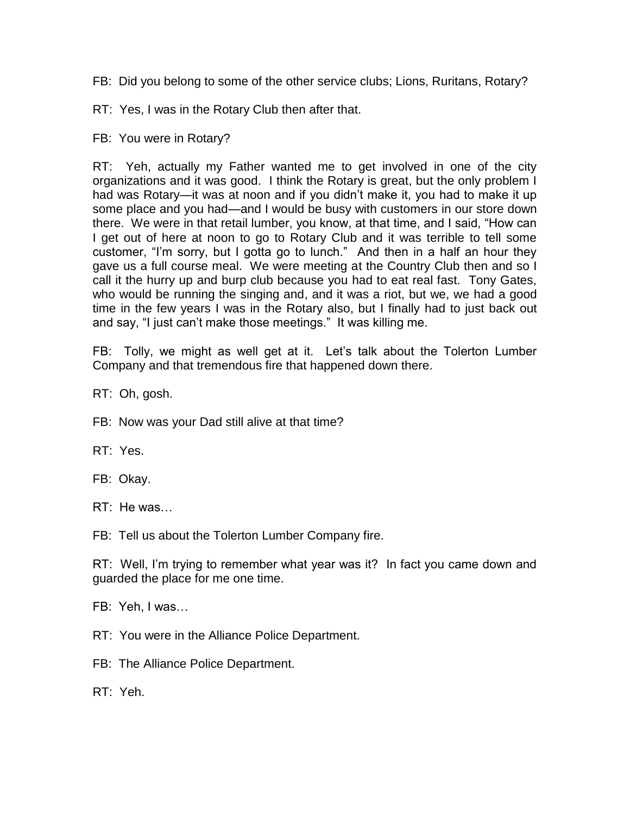FB: Did you belong to some of the other service clubs; Lions, Ruritans, Rotary?

RT: Yes, I was in the Rotary Club then after that.

FB: You were in Rotary?

RT: Yeh, actually my Father wanted me to get involved in one of the city organizations and it was good. I think the Rotary is great, but the only problem I had was Rotary—it was at noon and if you didn't make it, you had to make it up some place and you had—and I would be busy with customers in our store down there. We were in that retail lumber, you know, at that time, and I said, "How can I get out of here at noon to go to Rotary Club and it was terrible to tell some customer, "I'm sorry, but I gotta go to lunch." And then in a half an hour they gave us a full course meal. We were meeting at the Country Club then and so I call it the hurry up and burp club because you had to eat real fast. Tony Gates, who would be running the singing and, and it was a riot, but we, we had a good time in the few years I was in the Rotary also, but I finally had to just back out and say, "I just can't make those meetings." It was killing me.

FB: Tolly, we might as well get at it. Let's talk about the Tolerton Lumber Company and that tremendous fire that happened down there.

RT: Oh, gosh.

FB: Now was your Dad still alive at that time?

RT: Yes.

FB: Okay.

RT: He was…

FB: Tell us about the Tolerton Lumber Company fire.

RT: Well, I'm trying to remember what year was it? In fact you came down and guarded the place for me one time.

FB: Yeh, I was…

RT: You were in the Alliance Police Department.

FB: The Alliance Police Department.

RT: Yeh.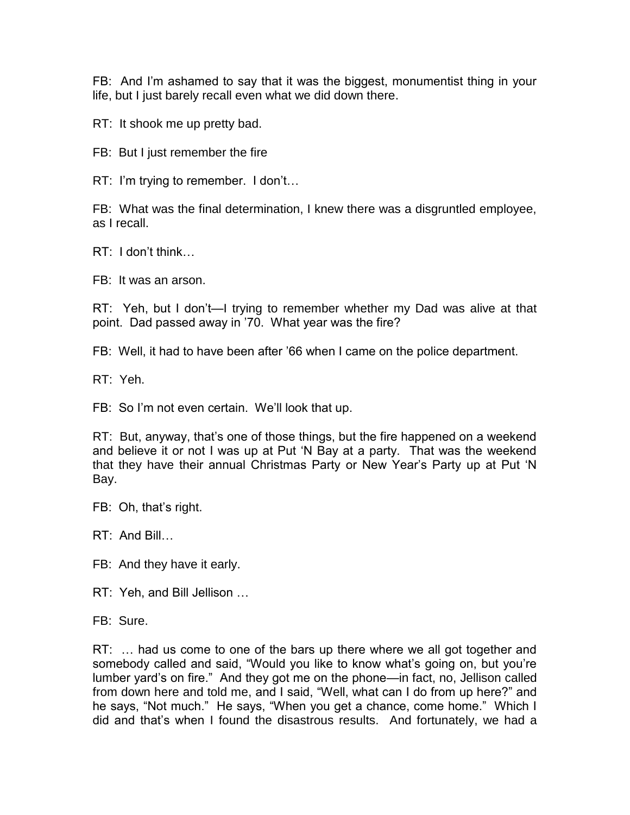FB: And I'm ashamed to say that it was the biggest, monumentist thing in your life, but I just barely recall even what we did down there.

RT: It shook me up pretty bad.

FB: But I just remember the fire

RT: I'm trying to remember. I don't…

FB: What was the final determination, I knew there was a disgruntled employee, as I recall.

RT: I don't think…

FB: It was an arson.

RT: Yeh, but I don't—I trying to remember whether my Dad was alive at that point. Dad passed away in '70. What year was the fire?

FB: Well, it had to have been after '66 when I came on the police department.

RT: Yeh.

FB: So I'm not even certain. We'll look that up.

RT: But, anyway, that's one of those things, but the fire happened on a weekend and believe it or not I was up at Put 'N Bay at a party. That was the weekend that they have their annual Christmas Party or New Year's Party up at Put 'N Bay.

FB: Oh, that's right.

RT: And Bill…

FB: And they have it early.

RT: Yeh, and Bill Jellison …

FB: Sure.

RT: ... had us come to one of the bars up there where we all got together and somebody called and said, "Would you like to know what's going on, but you're lumber yard's on fire." And they got me on the phone—in fact, no, Jellison called from down here and told me, and I said, "Well, what can I do from up here?" and he says, "Not much." He says, "When you get a chance, come home." Which I did and that's when I found the disastrous results. And fortunately, we had a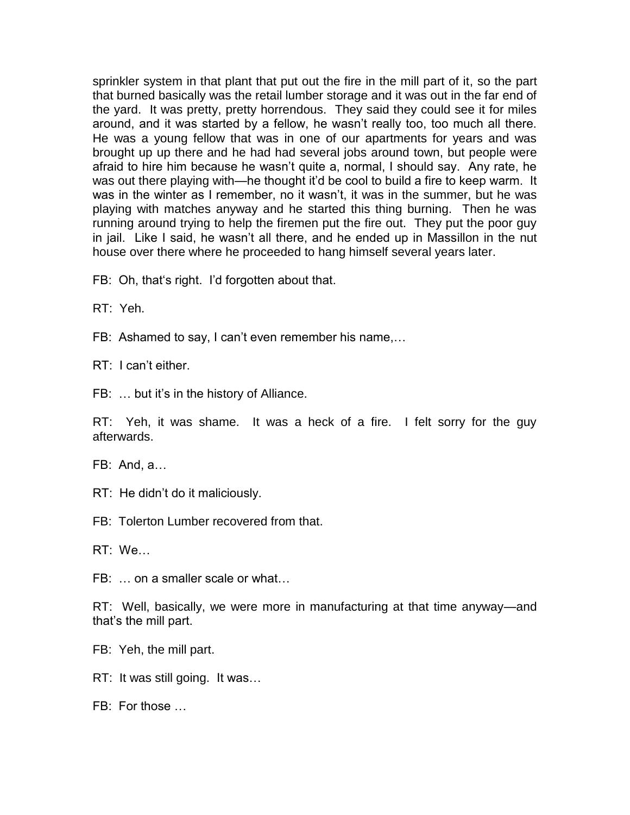sprinkler system in that plant that put out the fire in the mill part of it, so the part that burned basically was the retail lumber storage and it was out in the far end of the yard. It was pretty, pretty horrendous. They said they could see it for miles around, and it was started by a fellow, he wasn't really too, too much all there. He was a young fellow that was in one of our apartments for years and was brought up up there and he had had several jobs around town, but people were afraid to hire him because he wasn't quite a, normal, I should say. Any rate, he was out there playing with—he thought it'd be cool to build a fire to keep warm. It was in the winter as I remember, no it wasn't, it was in the summer, but he was playing with matches anyway and he started this thing burning. Then he was running around trying to help the firemen put the fire out. They put the poor guy in jail. Like I said, he wasn't all there, and he ended up in Massillon in the nut house over there where he proceeded to hang himself several years later.

FB: Oh, that's right. I'd forgotten about that.

RT: Yeh.

FB: Ashamed to say, I can't even remember his name,…

RT: I can't either.

FB: … but it's in the history of Alliance.

RT: Yeh, it was shame. It was a heck of a fire. I felt sorry for the guy afterwards.

FB: And, a…

RT: He didn't do it maliciously.

FB: Tolerton Lumber recovered from that.

RT: We…

FB: … on a smaller scale or what…

RT: Well, basically, we were more in manufacturing at that time anyway—and that's the mill part.

FB: Yeh, the mill part.

RT: It was still going. It was…

FB: For those …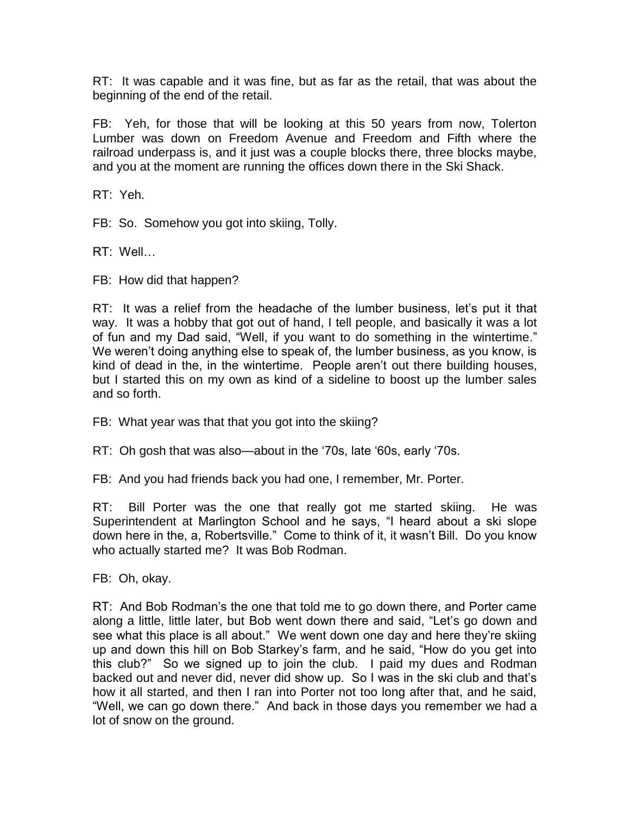RT: It was capable and it was fine, but as far as the retail, that was about the beginning of the end of the retail.

FB: Yeh, for those that will be looking at this 50 years from now, Tolerton Lumber was down on Freedom Avenue and Freedom and Fifth where the railroad underpass is, and it just was a couple blocks there, three blocks maybe, and you at the moment are running the offices down there in the Ski Shack.

RT: Yeh.

FB: So. Somehow you got into skiing, Tolly.

RT: Well…

FB: How did that happen?

RT: It was a relief from the headache of the lumber business, let's put it that way. It was a hobby that got out of hand, I tell people, and basically it was a lot of fun and my Dad said, "Well, if you want to do something in the wintertime." We weren't doing anything else to speak of, the lumber business, as you know, is kind of dead in the, in the wintertime. People aren't out there building houses, but I started this on my own as kind of a sideline to boost up the lumber sales and so forth.

FB: What year was that that you got into the skiing?

RT: Oh gosh that was also—about in the '70s, late '60s, early '70s.

FB: And you had friends back you had one, I remember, Mr. Porter.

RT: Bill Porter was the one that really got me started skiing. He was Superintendent at Marlington School and he says, "I heard about a ski slope down here in the, a, Robertsville." Come to think of it, it wasn't Bill. Do you know who actually started me? It was Bob Rodman.

FB: Oh, okay.

RT: And Bob Rodman's the one that told me to go down there, and Porter came along a little, little later, but Bob went down there and said, "Let's go down and see what this place is all about." We went down one day and here they're skiing up and down this hill on Bob Starkey's farm, and he said, "How do you get into this club?" So we signed up to join the club. I paid my dues and Rodman backed out and never did, never did show up. So I was in the ski club and that's how it all started, and then I ran into Porter not too long after that, and he said, "Well, we can go down there." And back in those days you remember we had a lot of snow on the ground.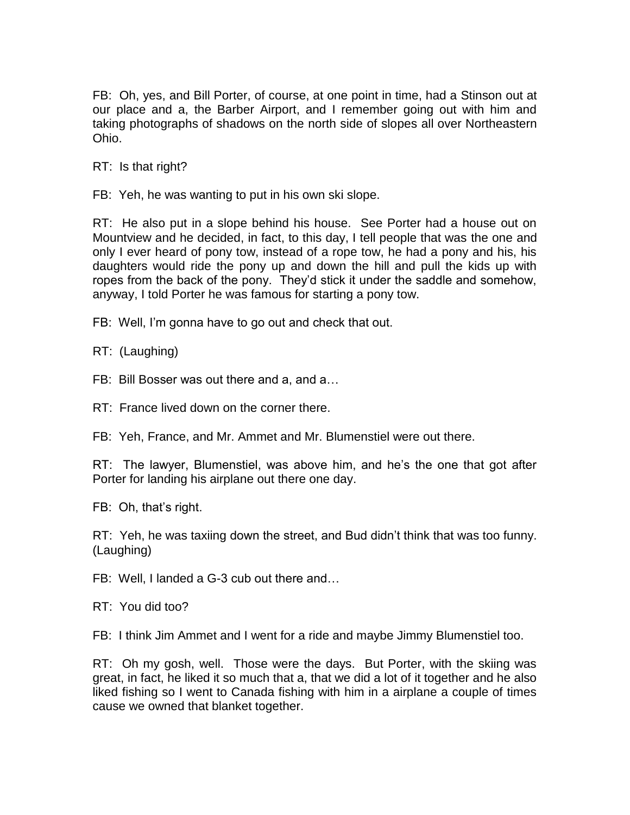FB: Oh, yes, and Bill Porter, of course, at one point in time, had a Stinson out at our place and a, the Barber Airport, and I remember going out with him and taking photographs of shadows on the north side of slopes all over Northeastern Ohio.

RT: Is that right?

FB: Yeh, he was wanting to put in his own ski slope.

RT: He also put in a slope behind his house. See Porter had a house out on Mountview and he decided, in fact, to this day, I tell people that was the one and only I ever heard of pony tow, instead of a rope tow, he had a pony and his, his daughters would ride the pony up and down the hill and pull the kids up with ropes from the back of the pony. They'd stick it under the saddle and somehow, anyway, I told Porter he was famous for starting a pony tow.

FB: Well, I'm gonna have to go out and check that out.

RT: (Laughing)

FB: Bill Bosser was out there and a, and a…

RT: France lived down on the corner there.

FB: Yeh, France, and Mr. Ammet and Mr. Blumenstiel were out there.

RT: The lawyer, Blumenstiel, was above him, and he's the one that got after Porter for landing his airplane out there one day.

FB: Oh, that's right.

RT: Yeh, he was taxiing down the street, and Bud didn't think that was too funny. (Laughing)

FB: Well, I landed a G-3 cub out there and…

RT: You did too?

FB: I think Jim Ammet and I went for a ride and maybe Jimmy Blumenstiel too.

RT: Oh my gosh, well. Those were the days. But Porter, with the skiing was great, in fact, he liked it so much that a, that we did a lot of it together and he also liked fishing so I went to Canada fishing with him in a airplane a couple of times cause we owned that blanket together.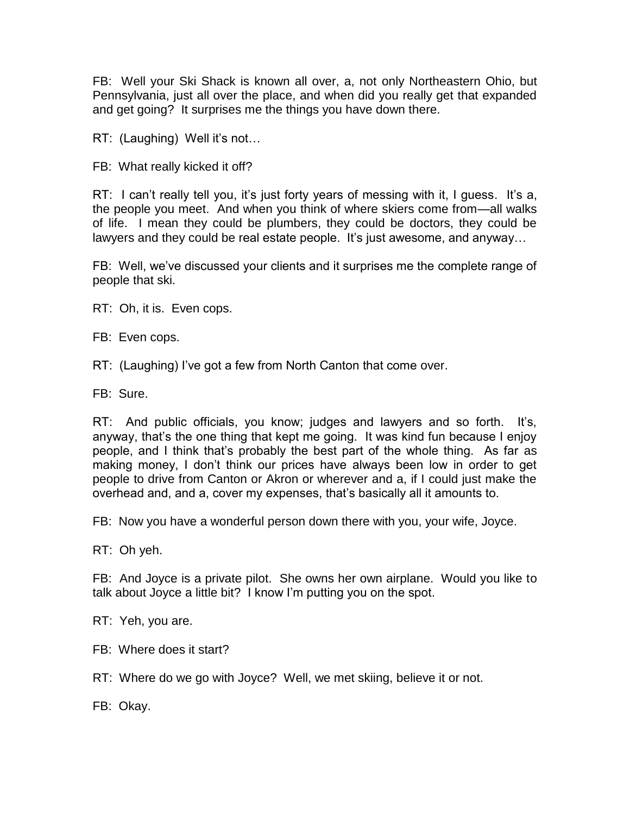FB: Well your Ski Shack is known all over, a, not only Northeastern Ohio, but Pennsylvania, just all over the place, and when did you really get that expanded and get going? It surprises me the things you have down there.

RT: (Laughing) Well it's not…

FB: What really kicked it off?

RT: I can't really tell you, it's just forty years of messing with it, I guess. It's a, the people you meet. And when you think of where skiers come from—all walks of life. I mean they could be plumbers, they could be doctors, they could be lawyers and they could be real estate people. It's just awesome, and anyway…

FB: Well, we've discussed your clients and it surprises me the complete range of people that ski.

RT: Oh, it is. Even cops.

FB: Even cops.

RT: (Laughing) I've got a few from North Canton that come over.

FB: Sure.

RT: And public officials, you know; judges and lawyers and so forth. It's, anyway, that's the one thing that kept me going. It was kind fun because I enjoy people, and I think that's probably the best part of the whole thing. As far as making money, I don't think our prices have always been low in order to get people to drive from Canton or Akron or wherever and a, if I could just make the overhead and, and a, cover my expenses, that's basically all it amounts to.

FB: Now you have a wonderful person down there with you, your wife, Joyce.

RT: Oh yeh.

FB: And Joyce is a private pilot. She owns her own airplane. Would you like to talk about Joyce a little bit? I know I'm putting you on the spot.

RT: Yeh, you are.

FB: Where does it start?

RT: Where do we go with Joyce? Well, we met skiing, believe it or not.

FB: Okay.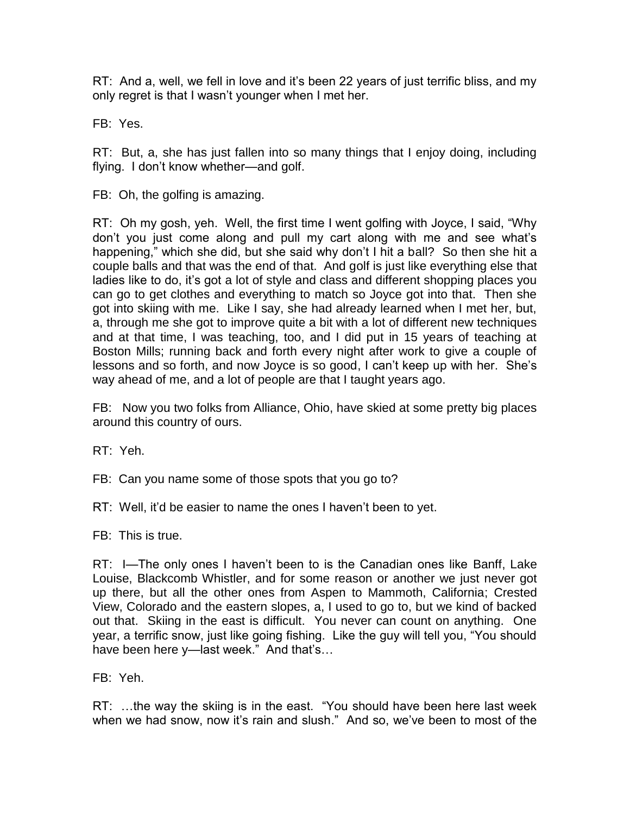RT: And a, well, we fell in love and it's been 22 years of just terrific bliss, and my only regret is that I wasn't younger when I met her.

FB: Yes.

RT: But, a, she has just fallen into so many things that I enjoy doing, including flying. I don't know whether—and golf.

FB: Oh, the golfing is amazing.

RT: Oh my gosh, yeh. Well, the first time I went golfing with Joyce, I said, "Why don't you just come along and pull my cart along with me and see what's happening," which she did, but she said why don't I hit a ball? So then she hit a couple balls and that was the end of that. And golf is just like everything else that ladies like to do, it's got a lot of style and class and different shopping places you can go to get clothes and everything to match so Joyce got into that. Then she got into skiing with me. Like I say, she had already learned when I met her, but, a, through me she got to improve quite a bit with a lot of different new techniques and at that time, I was teaching, too, and I did put in 15 years of teaching at Boston Mills; running back and forth every night after work to give a couple of lessons and so forth, and now Joyce is so good, I can't keep up with her. She's way ahead of me, and a lot of people are that I taught years ago.

FB: Now you two folks from Alliance, Ohio, have skied at some pretty big places around this country of ours.

RT: Yeh.

FB: Can you name some of those spots that you go to?

RT: Well, it'd be easier to name the ones I haven't been to yet.

FB: This is true.

RT: I—The only ones I haven't been to is the Canadian ones like Banff, Lake Louise, Blackcomb Whistler, and for some reason or another we just never got up there, but all the other ones from Aspen to Mammoth, California; Crested View, Colorado and the eastern slopes, a, I used to go to, but we kind of backed out that. Skiing in the east is difficult. You never can count on anything. One year, a terrific snow, just like going fishing. Like the guy will tell you, "You should have been here y—last week." And that's…

FB: Yeh.

RT: …the way the skiing is in the east. "You should have been here last week when we had snow, now it's rain and slush." And so, we've been to most of the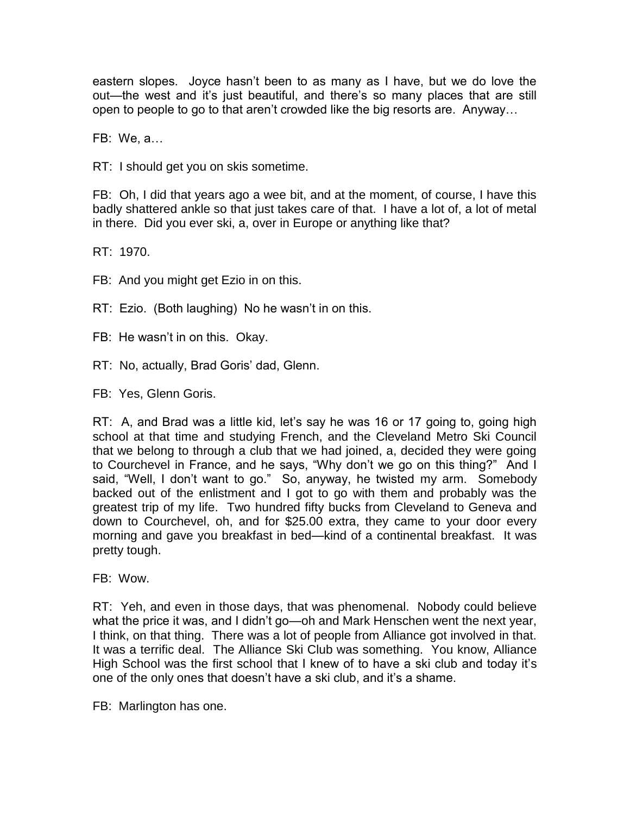eastern slopes. Joyce hasn't been to as many as I have, but we do love the out—the west and it's just beautiful, and there's so many places that are still open to people to go to that aren't crowded like the big resorts are. Anyway…

FB: We, a…

RT: I should get you on skis sometime.

FB: Oh, I did that years ago a wee bit, and at the moment, of course, I have this badly shattered ankle so that just takes care of that. I have a lot of, a lot of metal in there. Did you ever ski, a, over in Europe or anything like that?

RT: 1970.

FB: And you might get Ezio in on this.

RT: Ezio. (Both laughing) No he wasn't in on this.

FB: He wasn't in on this. Okay.

RT: No, actually, Brad Goris' dad, Glenn.

FB: Yes, Glenn Goris.

RT: A, and Brad was a little kid, let's say he was 16 or 17 going to, going high school at that time and studying French, and the Cleveland Metro Ski Council that we belong to through a club that we had joined, a, decided they were going to Courchevel in France, and he says, "Why don't we go on this thing?" And I said, "Well, I don't want to go." So, anyway, he twisted my arm. Somebody backed out of the enlistment and I got to go with them and probably was the greatest trip of my life. Two hundred fifty bucks from Cleveland to Geneva and down to Courchevel, oh, and for \$25.00 extra, they came to your door every morning and gave you breakfast in bed—kind of a continental breakfast. It was pretty tough.

FB: Wow.

RT: Yeh, and even in those days, that was phenomenal. Nobody could believe what the price it was, and I didn't go—oh and Mark Henschen went the next year, I think, on that thing. There was a lot of people from Alliance got involved in that. It was a terrific deal. The Alliance Ski Club was something. You know, Alliance High School was the first school that I knew of to have a ski club and today it's one of the only ones that doesn't have a ski club, and it's a shame.

FB: Marlington has one.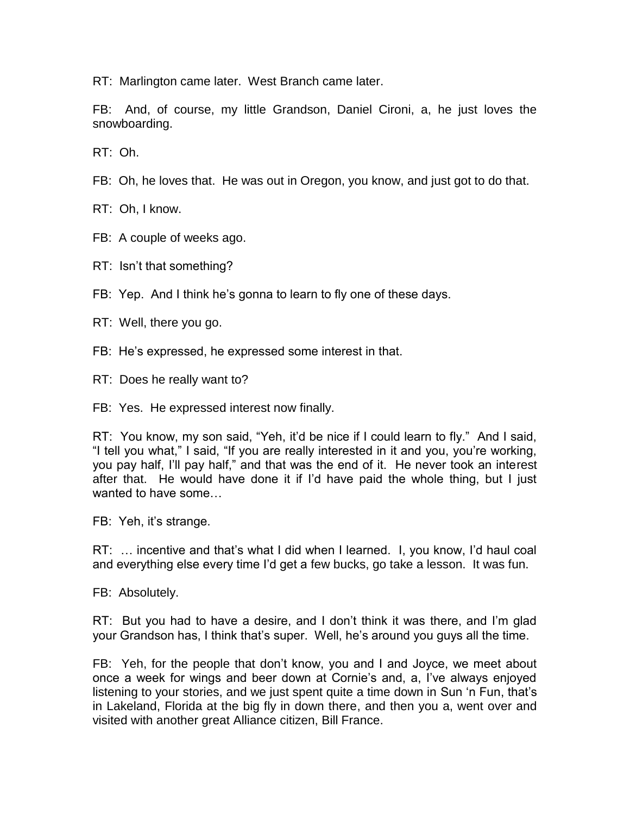RT: Marlington came later. West Branch came later.

FB: And, of course, my little Grandson, Daniel Cironi, a, he just loves the snowboarding.

RT: Oh.

FB: Oh, he loves that. He was out in Oregon, you know, and just got to do that.

RT: Oh, I know.

FB: A couple of weeks ago.

RT: Isn't that something?

- FB: Yep. And I think he's gonna to learn to fly one of these days.
- RT: Well, there you go.
- FB: He's expressed, he expressed some interest in that.
- RT: Does he really want to?

FB: Yes. He expressed interest now finally.

RT: You know, my son said, "Yeh, it'd be nice if I could learn to fly." And I said, "I tell you what," I said, "If you are really interested in it and you, you're working, you pay half, I'll pay half," and that was the end of it. He never took an interest after that. He would have done it if I'd have paid the whole thing, but I just wanted to have some…

FB: Yeh, it's strange.

RT: … incentive and that's what I did when I learned. I, you know, I'd haul coal and everything else every time I'd get a few bucks, go take a lesson. It was fun.

FB: Absolutely.

RT: But you had to have a desire, and I don't think it was there, and I'm glad your Grandson has, I think that's super. Well, he's around you guys all the time.

FB: Yeh, for the people that don't know, you and I and Joyce, we meet about once a week for wings and beer down at Cornie's and, a, I've always enjoyed listening to your stories, and we just spent quite a time down in Sun 'n Fun, that's in Lakeland, Florida at the big fly in down there, and then you a, went over and visited with another great Alliance citizen, Bill France.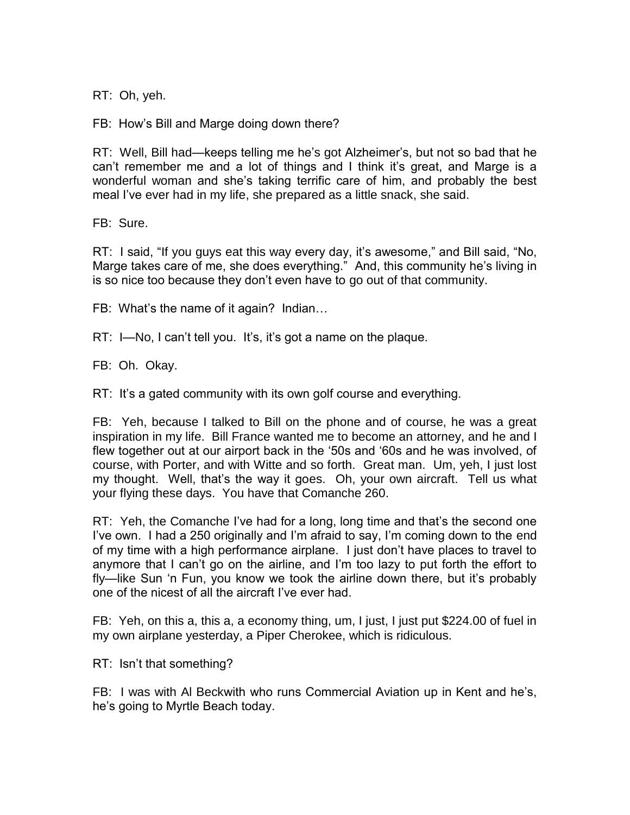RT: Oh, yeh.

FB: How's Bill and Marge doing down there?

RT: Well, Bill had—keeps telling me he's got Alzheimer's, but not so bad that he can't remember me and a lot of things and I think it's great, and Marge is a wonderful woman and she's taking terrific care of him, and probably the best meal I've ever had in my life, she prepared as a little snack, she said.

FB: Sure.

RT: I said, "If you guys eat this way every day, it's awesome," and Bill said, "No, Marge takes care of me, she does everything." And, this community he's living in is so nice too because they don't even have to go out of that community.

FB: What's the name of it again? Indian…

RT: I—No, I can't tell you. It's, it's got a name on the plaque.

FB: Oh. Okay.

RT: It's a gated community with its own golf course and everything.

FB: Yeh, because I talked to Bill on the phone and of course, he was a great inspiration in my life. Bill France wanted me to become an attorney, and he and I flew together out at our airport back in the '50s and '60s and he was involved, of course, with Porter, and with Witte and so forth. Great man. Um, yeh, I just lost my thought. Well, that's the way it goes. Oh, your own aircraft. Tell us what your flying these days. You have that Comanche 260.

RT: Yeh, the Comanche I've had for a long, long time and that's the second one I've own. I had a 250 originally and I'm afraid to say, I'm coming down to the end of my time with a high performance airplane. I just don't have places to travel to anymore that I can't go on the airline, and I'm too lazy to put forth the effort to fly—like Sun 'n Fun, you know we took the airline down there, but it's probably one of the nicest of all the aircraft I've ever had.

FB: Yeh, on this a, this a, a economy thing, um, I just, I just put \$224.00 of fuel in my own airplane yesterday, a Piper Cherokee, which is ridiculous.

RT: Isn't that something?

FB: I was with Al Beckwith who runs Commercial Aviation up in Kent and he's, he's going to Myrtle Beach today.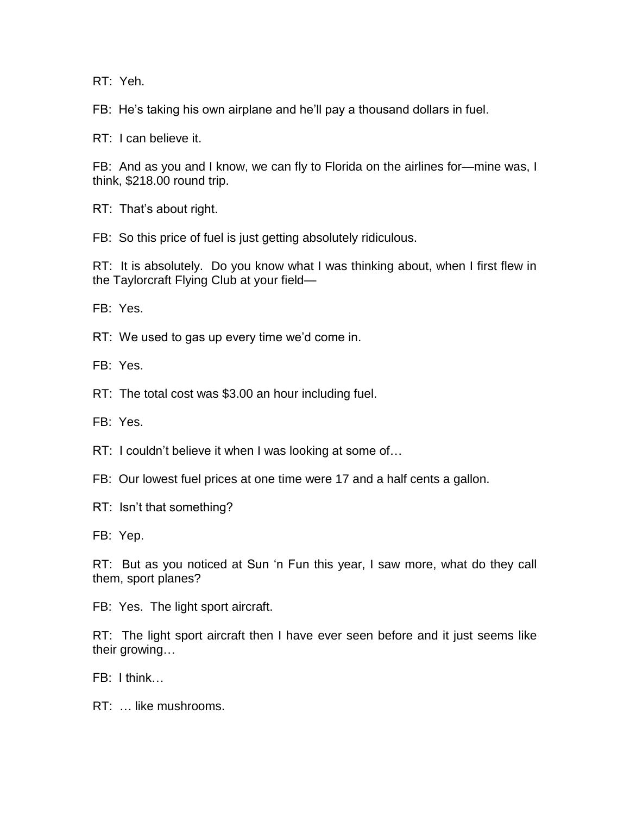RT: Yeh.

FB: He's taking his own airplane and he'll pay a thousand dollars in fuel.

RT: I can believe it.

FB: And as you and I know, we can fly to Florida on the airlines for—mine was, I think, \$218.00 round trip.

RT: That's about right.

FB: So this price of fuel is just getting absolutely ridiculous.

RT: It is absolutely. Do you know what I was thinking about, when I first flew in the Taylorcraft Flying Club at your field—

FB: Yes.

RT: We used to gas up every time we'd come in.

FB: Yes.

RT: The total cost was \$3.00 an hour including fuel.

FB: Yes.

RT: I couldn't believe it when I was looking at some of…

FB: Our lowest fuel prices at one time were 17 and a half cents a gallon.

RT: Isn't that something?

FB: Yep.

RT: But as you noticed at Sun 'n Fun this year, I saw more, what do they call them, sport planes?

FB: Yes. The light sport aircraft.

RT: The light sport aircraft then I have ever seen before and it just seems like their growing…

FB: I think…

RT: … like mushrooms.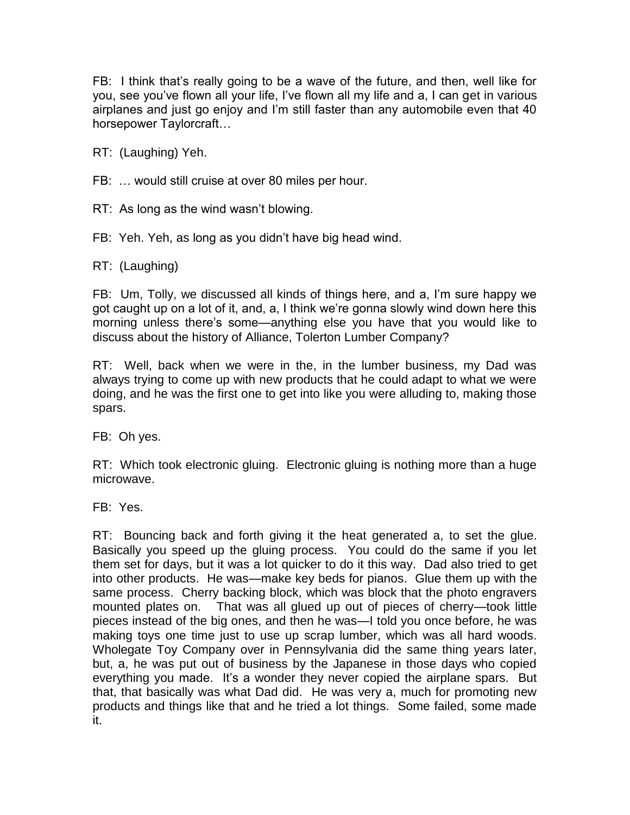FB: I think that's really going to be a wave of the future, and then, well like for you, see you've flown all your life, I've flown all my life and a, I can get in various airplanes and just go enjoy and I'm still faster than any automobile even that 40 horsepower Taylorcraft…

RT: (Laughing) Yeh.

FB: … would still cruise at over 80 miles per hour.

RT: As long as the wind wasn't blowing.

FB: Yeh. Yeh, as long as you didn't have big head wind.

RT: (Laughing)

FB: Um, Tolly, we discussed all kinds of things here, and a, I'm sure happy we got caught up on a lot of it, and, a, I think we're gonna slowly wind down here this morning unless there's some—anything else you have that you would like to discuss about the history of Alliance, Tolerton Lumber Company?

RT: Well, back when we were in the, in the lumber business, my Dad was always trying to come up with new products that he could adapt to what we were doing, and he was the first one to get into like you were alluding to, making those spars.

FB: Oh yes.

RT: Which took electronic gluing. Electronic gluing is nothing more than a huge microwave.

FB: Yes.

RT: Bouncing back and forth giving it the heat generated a, to set the glue. Basically you speed up the gluing process. You could do the same if you let them set for days, but it was a lot quicker to do it this way. Dad also tried to get into other products. He was—make key beds for pianos. Glue them up with the same process. Cherry backing block, which was block that the photo engravers mounted plates on. That was all glued up out of pieces of cherry—took little pieces instead of the big ones, and then he was—I told you once before, he was making toys one time just to use up scrap lumber, which was all hard woods. Wholegate Toy Company over in Pennsylvania did the same thing years later, but, a, he was put out of business by the Japanese in those days who copied everything you made. It's a wonder they never copied the airplane spars. But that, that basically was what Dad did. He was very a, much for promoting new products and things like that and he tried a lot things. Some failed, some made it.